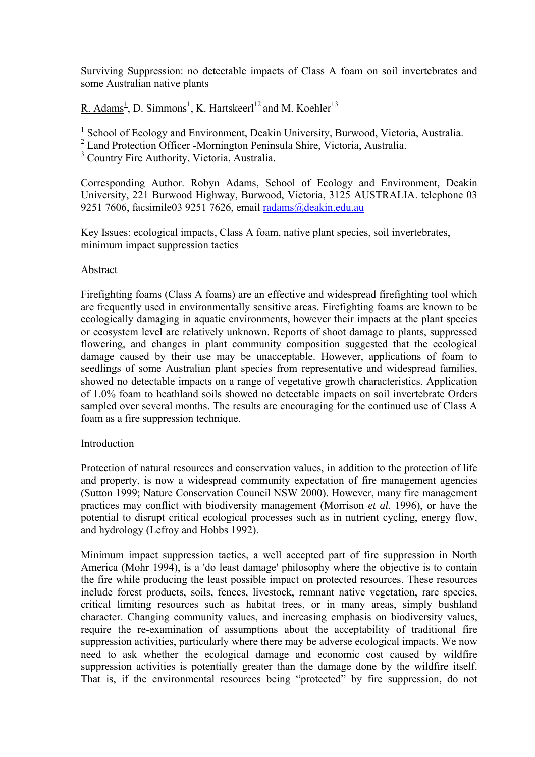Surviving Suppression: no detectable impacts of Class A foam on soil invertebrates and some Australian native plants

R. Adams<sup>1</sup>, D. Simmons<sup>1</sup>, K. Hartskeerl<sup>12</sup> and M. Koehler<sup>13</sup>

<sup>1</sup> School of Ecology and Environment, Deakin University, Burwood, Victoria, Australia.

2 Land Protection Officer -Mornington Peninsula Shire, Victoria, Australia.

<sup>3</sup> Country Fire Authority, Victoria, Australia.

Corresponding Author. Robyn Adams, School of Ecology and Environment, Deakin University, 221 Burwood Highway, Burwood, Victoria, 3125 AUSTRALIA. telephone 03 9251 7606, facsimile03 9251 7626, email [radams@deakin.edu.au](mailto:radams@deakin.edu.au)

Key Issues: ecological impacts, Class A foam, native plant species, soil invertebrates, minimum impact suppression tactics

# Abstract

Firefighting foams (Class A foams) are an effective and widespread firefighting tool which are frequently used in environmentally sensitive areas. Firefighting foams are known to be ecologically damaging in aquatic environments, however their impacts at the plant species or ecosystem level are relatively unknown. Reports of shoot damage to plants, suppressed flowering, and changes in plant community composition suggested that the ecological damage caused by their use may be unacceptable. However, applications of foam to seedlings of some Australian plant species from representative and widespread families, showed no detectable impacts on a range of vegetative growth characteristics. Application of 1.0% foam to heathland soils showed no detectable impacts on soil invertebrate Orders sampled over several months. The results are encouraging for the continued use of Class A foam as a fire suppression technique.

# Introduction

Protection of natural resources and conservation values, in addition to the protection of life and property, is now a widespread community expectation of fire management agencies (Sutton 1999; Nature Conservation Council NSW 2000). However, many fire management practices may conflict with biodiversity management (Morrison *et al*. 1996), or have the potential to disrupt critical ecological processes such as in nutrient cycling, energy flow, and hydrology (Lefroy and Hobbs 1992).

Minimum impact suppression tactics, a well accepted part of fire suppression in North America (Mohr 1994), is a 'do least damage' philosophy where the objective is to contain the fire while producing the least possible impact on protected resources. These resources include forest products, soils, fences, livestock, remnant native vegetation, rare species, critical limiting resources such as habitat trees, or in many areas, simply bushland character. Changing community values, and increasing emphasis on biodiversity values, require the re-examination of assumptions about the acceptability of traditional fire suppression activities, particularly where there may be adverse ecological impacts. We now need to ask whether the ecological damage and economic cost caused by wildfire suppression activities is potentially greater than the damage done by the wildfire itself. That is, if the environmental resources being "protected" by fire suppression, do not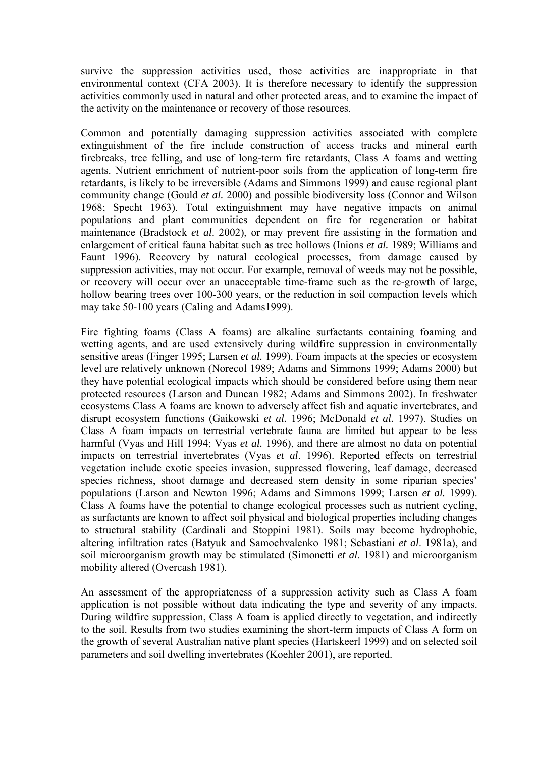survive the suppression activities used, those activities are inappropriate in that environmental context (CFA 2003). It is therefore necessary to identify the suppression activities commonly used in natural and other protected areas, and to examine the impact of the activity on the maintenance or recovery of those resources.

Common and potentially damaging suppression activities associated with complete extinguishment of the fire include construction of access tracks and mineral earth firebreaks, tree felling, and use of long-term fire retardants, Class A foams and wetting agents. Nutrient enrichment of nutrient-poor soils from the application of long-term fire retardants, is likely to be irreversible (Adams and Simmons 1999) and cause regional plant community change (Gould *et al.* 2000) and possible biodiversity loss (Connor and Wilson 1968; Specht 1963). Total extinguishment may have negative impacts on animal populations and plant communities dependent on fire for regeneration or habitat maintenance (Bradstock *et al*. 2002), or may prevent fire assisting in the formation and enlargement of critical fauna habitat such as tree hollows (Inions *et al.* 1989; Williams and Faunt 1996). Recovery by natural ecological processes, from damage caused by suppression activities, may not occur. For example, removal of weeds may not be possible, or recovery will occur over an unacceptable time-frame such as the re-growth of large, hollow bearing trees over 100-300 years, or the reduction in soil compaction levels which may take 50-100 years (Caling and Adams1999).

Fire fighting foams (Class A foams) are alkaline surfactants containing foaming and wetting agents, and are used extensively during wildfire suppression in environmentally sensitive areas (Finger 1995; Larsen *et al.* 1999). Foam impacts at the species or ecosystem level are relatively unknown (Norecol 1989; Adams and Simmons 1999; Adams 2000) but they have potential ecological impacts which should be considered before using them near protected resources (Larson and Duncan 1982; Adams and Simmons 2002). In freshwater ecosystems Class A foams are known to adversely affect fish and aquatic invertebrates, and disrupt ecosystem functions (Gaikowski *et al.* 1996; McDonald *et al.* 1997). Studies on Class A foam impacts on terrestrial vertebrate fauna are limited but appear to be less harmful (Vyas and Hill 1994; Vyas *et al.* 1996), and there are almost no data on potential impacts on terrestrial invertebrates (Vyas *et al*. 1996). Reported effects on terrestrial vegetation include exotic species invasion, suppressed flowering, leaf damage, decreased species richness, shoot damage and decreased stem density in some riparian species' populations (Larson and Newton 1996; Adams and Simmons 1999; Larsen *et al.* 1999). Class A foams have the potential to change ecological processes such as nutrient cycling, as surfactants are known to affect soil physical and biological properties including changes to structural stability (Cardinali and Stoppini 1981). Soils may become hydrophobic, altering infiltration rates (Batyuk and Samochvalenko 1981; Sebastiani *et al*. 1981a), and soil microorganism growth may be stimulated (Simonetti *et al*. 1981) and microorganism mobility altered (Overcash 1981).

An assessment of the appropriateness of a suppression activity such as Class A foam application is not possible without data indicating the type and severity of any impacts. During wildfire suppression, Class A foam is applied directly to vegetation, and indirectly to the soil. Results from two studies examining the short-term impacts of Class A form on the growth of several Australian native plant species (Hartskeerl 1999) and on selected soil parameters and soil dwelling invertebrates (Koehler 2001), are reported.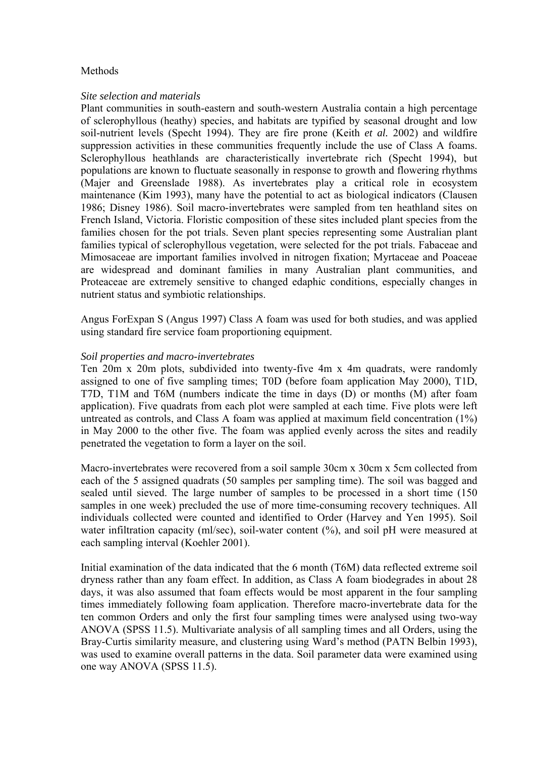### **Methods**

#### *Site selection and materials*

Plant communities in south-eastern and south-western Australia contain a high percentage of sclerophyllous (heathy) species, and habitats are typified by seasonal drought and low soil-nutrient levels (Specht 1994). They are fire prone (Keith *et al.* 2002) and wildfire suppression activities in these communities frequently include the use of Class A foams. Sclerophyllous heathlands are characteristically invertebrate rich (Specht 1994), but populations are known to fluctuate seasonally in response to growth and flowering rhythms (Majer and Greenslade 1988). As invertebrates play a critical role in ecosystem maintenance (Kim 1993), many have the potential to act as biological indicators (Clausen 1986; Disney 1986). Soil macro-invertebrates were sampled from ten heathland sites on French Island, Victoria. Floristic composition of these sites included plant species from the families chosen for the pot trials. Seven plant species representing some Australian plant families typical of sclerophyllous vegetation, were selected for the pot trials. Fabaceae and Mimosaceae are important families involved in nitrogen fixation; Myrtaceae and Poaceae are widespread and dominant families in many Australian plant communities, and Proteaceae are extremely sensitive to changed edaphic conditions, especially changes in nutrient status and symbiotic relationships.

Angus ForExpan S (Angus 1997) Class A foam was used for both studies, and was applied using standard fire service foam proportioning equipment.

#### *Soil properties and macro-invertebrates*

Ten 20m x 20m plots, subdivided into twenty-five 4m x 4m quadrats, were randomly assigned to one of five sampling times; T0D (before foam application May 2000), T1D, T7D, T1M and T6M (numbers indicate the time in days (D) or months (M) after foam application). Five quadrats from each plot were sampled at each time. Five plots were left untreated as controls, and Class A foam was applied at maximum field concentration (1%) in May 2000 to the other five. The foam was applied evenly across the sites and readily penetrated the vegetation to form a layer on the soil.

Macro-invertebrates were recovered from a soil sample 30cm x 30cm x 5cm collected from each of the 5 assigned quadrats (50 samples per sampling time). The soil was bagged and sealed until sieved. The large number of samples to be processed in a short time (150 samples in one week) precluded the use of more time-consuming recovery techniques. All individuals collected were counted and identified to Order (Harvey and Yen 1995). Soil water infiltration capacity (ml/sec), soil-water content (%), and soil pH were measured at each sampling interval (Koehler 2001).

Initial examination of the data indicated that the 6 month (T6M) data reflected extreme soil dryness rather than any foam effect. In addition, as Class A foam biodegrades in about 28 days, it was also assumed that foam effects would be most apparent in the four sampling times immediately following foam application. Therefore macro-invertebrate data for the ten common Orders and only the first four sampling times were analysed using two-way ANOVA (SPSS 11.5). Multivariate analysis of all sampling times and all Orders, using the Bray-Curtis similarity measure, and clustering using Ward's method (PATN Belbin 1993), was used to examine overall patterns in the data. Soil parameter data were examined using one way ANOVA (SPSS 11.5).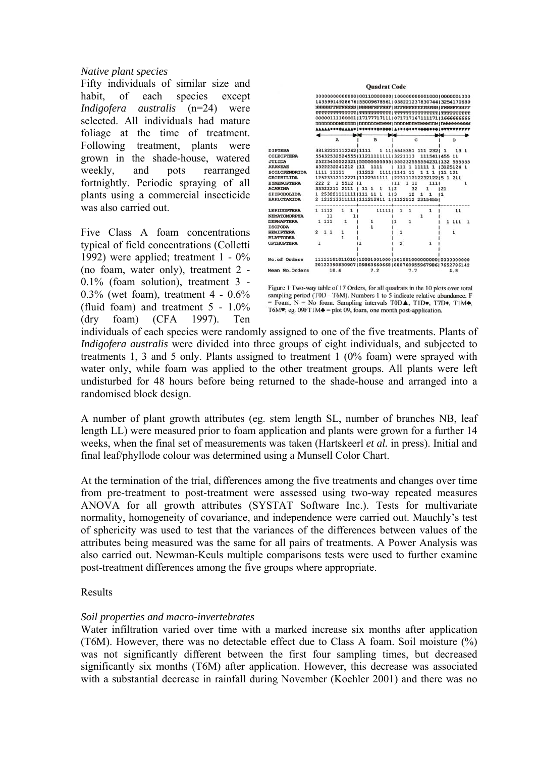# *Native plant species*

Fifty individuals of similar size and habit, of each species except *Indigofera australis* (n=24) were selected. All individuals had mature foliage at the time of treatment. Following treatment, plants were grown in the shade-house, watered weekly, and pots rearranged fortnightly. Periodic spraying of all plants using a commercial insecticide was also carried out.

Five Class A foam concentrations typical of field concentrations (Colletti 1992) were applied; treatment 1 - 0% (no foam, water only), treatment 2 - 0.1% (foam solution), treatment 3 - 0.3% (wet foam), treatment 4 - 0.6% (fluid foam) and treatment 5 - 1.0% (dry foam) (CFA 1997). Ten



Figure 1 Two-way table of 17 Orders, for all quadrats in the 10 plots over total sampling period (T0D - T6M). Numbers 1 to 5 indicate relative abundance. F = Foam, N = No foam. Sampling intervals  $TOD\blacktriangle$ ,  $T1D\blacktriangleright$ ,  $T7D\blacklozenge$ ,  $T1M\blacktriangle$ , T6M $\blacktriangledown$ ; eg. 09FT1M $\blacktriangle$  = plot 09, foam, one month post-application.

individuals of each species were randomly assigned to one of the five treatments. Plants of *Indigofera australis* were divided into three groups of eight individuals, and subjected to treatments 1, 3 and 5 only. Plants assigned to treatment 1 (0% foam) were sprayed with water only, while foam was applied to the other treatment groups. All plants were left undisturbed for 48 hours before being returned to the shade-house and arranged into a randomised block design.

A number of plant growth attributes (eg. stem length SL, number of branches NB, leaf length LL) were measured prior to foam application and plants were grown for a further 14 weeks, when the final set of measurements was taken (Hartskeerl *et al.* in press). Initial and final leaf/phyllode colour was determined using a Munsell Color Chart.

At the termination of the trial, differences among the five treatments and changes over time from pre-treatment to post-treatment were assessed using two-way repeated measures ANOVA for all growth attributes (SYSTAT Software Inc.). Tests for multivariate normality, homogeneity of covariance, and independence were carried out. Mauchly's test of sphericity was used to test that the variances of the differences between values of the attributes being measured was the same for all pairs of treatments. A Power Analysis was also carried out. Newman-Keuls multiple comparisons tests were used to further examine post-treatment differences among the five groups where appropriate.

# Results

# *Soil properties and macro-invertebrates*

Water infiltration varied over time with a marked increase six months after application (T6M). However, there was no detectable effect due to Class A foam. Soil moisture (%) was not significantly different between the first four sampling times, but decreased significantly six months (T6M) after application. However, this decrease was associated with a substantial decrease in rainfall during November (Koehler 2001) and there was no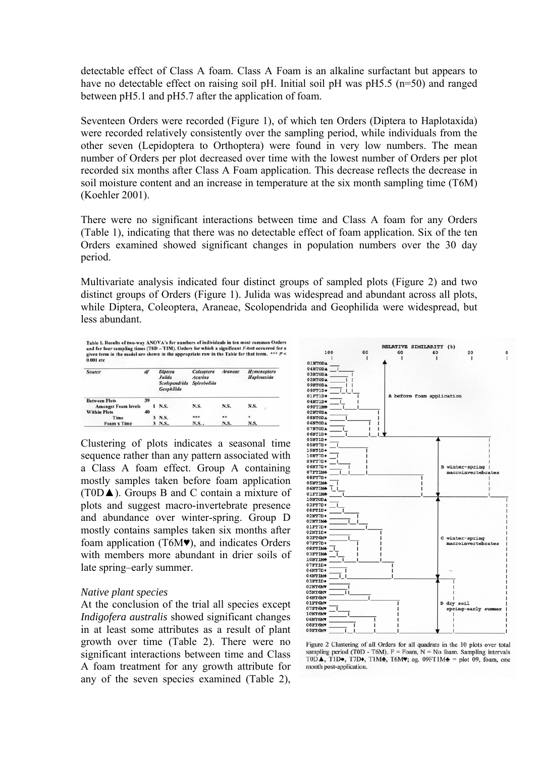detectable effect of Class A foam. Class A Foam is an alkaline surfactant but appears to have no detectable effect on raising soil pH. Initial soil pH was pH5.5 (n=50) and ranged between pH5.1 and pH5.7 after the application of foam.

Seventeen Orders were recorded (Figure 1), of which ten Orders (Diptera to Haplotaxida) were recorded relatively consistently over the sampling period, while individuals from the other seven (Lepidoptera to Orthoptera) were found in very low numbers. The mean number of Orders per plot decreased over time with the lowest number of Orders per plot recorded six months after Class A Foam application. This decrease reflects the decrease in soil moisture content and an increase in temperature at the six month sampling time (T6M) (Koehler 2001).

There were no significant interactions between time and Class A foam for any Orders (Table 1), indicating that there was no detectable effect of foam application. Six of the ten Orders examined showed significant changes in population numbers over the 30 day period.

Multivariate analysis indicated four distinct groups of sampled plots (Figure 2) and two distinct groups of Orders (Figure 1). Julida was widespread and abundant across all plots, while Diptera, Coleoptera, Araneae, Scolopendrida and Geophilida were widespread, but less abundant.

Table 1. Results of two-way ANOVA's for numbers of individuals in ten most common Ore and for four sampling times (T0D – T1M). Orders for which a significant F-test occurred for the model are shown in the appropriate row i Table 1. Results of two-way ANOVA's for numbers of individuals in ten most common Orders

| Source                     | df |  | <b>Diptera</b><br>Julida<br><b>Scolependrida</b><br>Geophilida | Coleoptera<br><b>Acarina</b><br>Spirobolida | <b>Araneae</b> | Hymenoptera<br>Haplotaxida |  |
|----------------------------|----|--|----------------------------------------------------------------|---------------------------------------------|----------------|----------------------------|--|
| <b>Between Plots</b>       | 39 |  |                                                                |                                             |                |                            |  |
| <b>Amongst Foam levels</b> |    |  | $1$ N.S.                                                       | N.S.                                        | N.S.           | N.S.                       |  |
| <b>Within Plots</b>        | 40 |  |                                                                |                                             |                |                            |  |
| Time                       |    |  | 3 N.S.                                                         | ***                                         | **             | ۰                          |  |
| <b>Foam x Time</b>         |    |  | $3$ N.S.                                                       | N.S                                         | N.S.           | N.S.                       |  |

Clustering of plots indicates a seasonal time sequence rather than any pattern associated with a Class A foam effect. Group A containing mostly samples taken before foam application (T0D▲). Groups B and C contain a mixture of plots and suggest macro-invertebrate presence and abundance over winter-spring. Group D mostly contains samples taken six months after foam application (T6M♥), and indicates Orders with members more abundant in drier soils of late spring–early summer.

#### *Native plant species*

At the conclusion of the trial all species except *Indigofera australis* showed significant changes in at least some attributes as a result of plant growth over time (Table 2). There were no significant interactions between time and Class A foam treatment for any growth attribute for any of the seven species examined (Table 2),



Figure 2 Clustering of all Orders for all quadrats in the 10 plots over total sampling period (T0D - T6M).  $F =$  Foam,  $N =$  No foam. Sampling intervals TODA, TID., T7D., TIM., T6M., eg. 09FT1M. = plot 09, foam, one month post-application.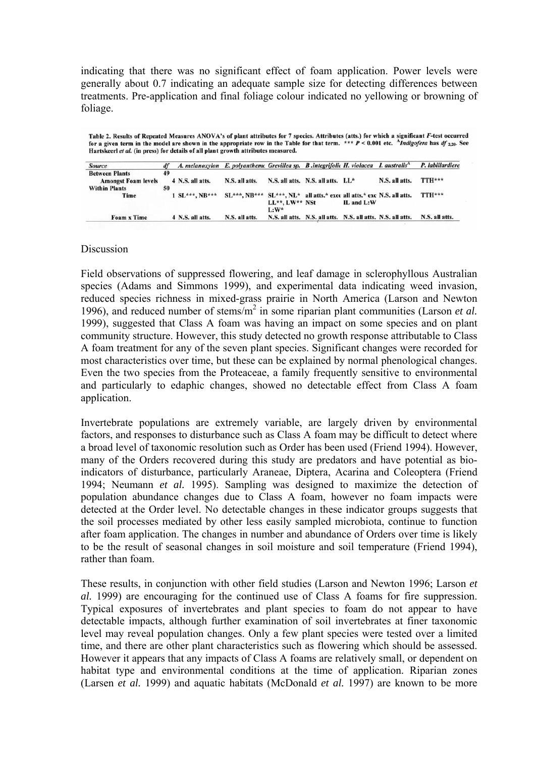indicating that there was no significant effect of foam application. Power levels were generally about 0.7 indicating an adequate sample size for detecting differences between treatments. Pre-application and final foliage colour indicated no yellowing or browning of foliage.

Table 2. Results of Repeated Measures ANOVA's of plant attributes for 7 species. Attributes (atts.) for which a significant F-test occurred for a given term in the model are shown in the appropriate row in the Table for that term. \*\*\* P < 0.001 etc. 'Indigofera has df 2,20. See Hartskeerl et al. (in press) for details of all plant growth attributes measured.

| <b>Source</b>              | df | A. melanoxylon E. polyantheme Grevillea sp. B. integrifolic H. violacea I. australis <sup>A</sup> |                                                                       |                     |                                                             |            |                | P. labillardiere |
|----------------------------|----|---------------------------------------------------------------------------------------------------|-----------------------------------------------------------------------|---------------------|-------------------------------------------------------------|------------|----------------|------------------|
| <b>Between Plants</b>      | 49 |                                                                                                   |                                                                       |                     |                                                             |            |                |                  |
| <b>Amongst Foam levels</b> |    | 4 N.S. all atts.                                                                                  | N.S. all atts.                                                        |                     | N.S. all atts. N.S. all atts. LL*                           |            | N.S. all atts. | TTH***           |
| <b>Within Plants</b>       | 50 |                                                                                                   |                                                                       |                     |                                                             |            |                |                  |
| Time                       |    | $1 SL***$ , NB***                                                                                 | SL***, NB*** SL***, NL* all atts.* exce all atts.* exc N.S. all atts. |                     |                                                             |            |                | TTH***           |
|                            |    |                                                                                                   |                                                                       | $LL**$ , $LW**$ NSt |                                                             | IL and L:W |                |                  |
|                            |    |                                                                                                   |                                                                       | $L: W^*$            |                                                             |            |                |                  |
| Foam x Time                |    | 4 N.S. all atts.                                                                                  | N.S. all atts.                                                        |                     | N.S. all atts. N.S. all atts. N.S. all atts. N.S. all atts. |            |                | N.S. all atts.   |

#### **Discussion**

Field observations of suppressed flowering, and leaf damage in sclerophyllous Australian species (Adams and Simmons 1999), and experimental data indicating weed invasion, reduced species richness in mixed-grass prairie in North America (Larson and Newton 1996), and reduced number of stems/m2 in some riparian plant communities (Larson *et al.*  1999), suggested that Class A foam was having an impact on some species and on plant community structure. However, this study detected no growth response attributable to Class A foam treatment for any of the seven plant species. Significant changes were recorded for most characteristics over time, but these can be explained by normal phenological changes. Even the two species from the Proteaceae, a family frequently sensitive to environmental and particularly to edaphic changes, showed no detectable effect from Class A foam application.

Invertebrate populations are extremely variable, are largely driven by environmental factors, and responses to disturbance such as Class A foam may be difficult to detect where a broad level of taxonomic resolution such as Order has been used (Friend 1994). However, many of the Orders recovered during this study are predators and have potential as bioindicators of disturbance, particularly Araneae, Diptera, Acarina and Coleoptera (Friend 1994; Neumann *et al.* 1995). Sampling was designed to maximize the detection of population abundance changes due to Class A foam, however no foam impacts were detected at the Order level. No detectable changes in these indicator groups suggests that the soil processes mediated by other less easily sampled microbiota, continue to function after foam application. The changes in number and abundance of Orders over time is likely to be the result of seasonal changes in soil moisture and soil temperature (Friend 1994), rather than foam.

These results, in conjunction with other field studies (Larson and Newton 1996; Larson *et al.* 1999) are encouraging for the continued use of Class A foams for fire suppression. Typical exposures of invertebrates and plant species to foam do not appear to have detectable impacts, although further examination of soil invertebrates at finer taxonomic level may reveal population changes. Only a few plant species were tested over a limited time, and there are other plant characteristics such as flowering which should be assessed. However it appears that any impacts of Class A foams are relatively small, or dependent on habitat type and environmental conditions at the time of application. Riparian zones (Larsen *et al.* 1999) and aquatic habitats (McDonald *et al.* 1997) are known to be more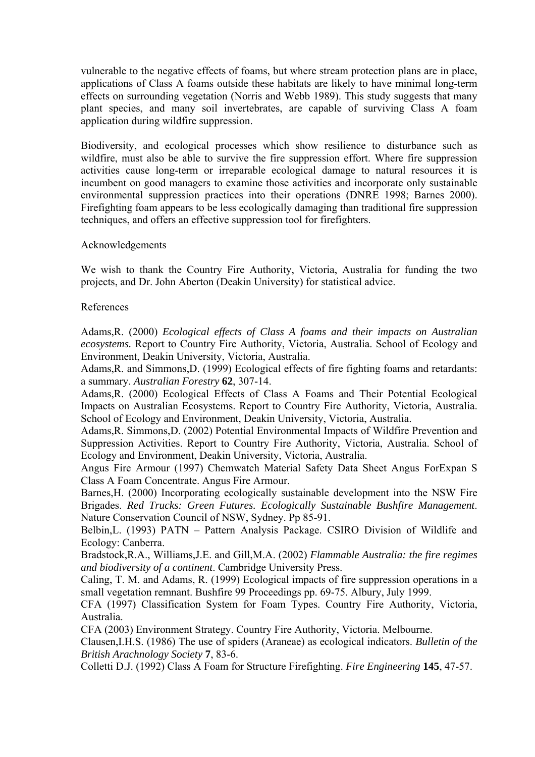vulnerable to the negative effects of foams, but where stream protection plans are in place, applications of Class A foams outside these habitats are likely to have minimal long-term effects on surrounding vegetation (Norris and Webb 1989). This study suggests that many plant species, and many soil invertebrates, are capable of surviving Class A foam application during wildfire suppression.

Biodiversity, and ecological processes which show resilience to disturbance such as wildfire, must also be able to survive the fire suppression effort. Where fire suppression activities cause long-term or irreparable ecological damage to natural resources it is incumbent on good managers to examine those activities and incorporate only sustainable environmental suppression practices into their operations (DNRE 1998; Barnes 2000). Firefighting foam appears to be less ecologically damaging than traditional fire suppression techniques, and offers an effective suppression tool for firefighters.

#### Acknowledgements

We wish to thank the Country Fire Authority, Victoria, Australia for funding the two projects, and Dr. John Aberton (Deakin University) for statistical advice.

#### References

Adams,R. (2000) *Ecological effects of Class A foams and their impacts on Australian ecosystems.* Report to Country Fire Authority, Victoria, Australia. School of Ecology and Environment, Deakin University, Victoria, Australia.

Adams,R. and Simmons,D. (1999) Ecological effects of fire fighting foams and retardants: a summary. *Australian Forestry* **62**, 307-14.

Adams,R. (2000) Ecological Effects of Class A Foams and Their Potential Ecological Impacts on Australian Ecosystems. Report to Country Fire Authority, Victoria, Australia. School of Ecology and Environment, Deakin University, Victoria, Australia.

Adams,R. Simmons,D. (2002) Potential Environmental Impacts of Wildfire Prevention and Suppression Activities. Report to Country Fire Authority, Victoria, Australia. School of Ecology and Environment, Deakin University, Victoria, Australia.

Angus Fire Armour (1997) Chemwatch Material Safety Data Sheet Angus ForExpan S Class A Foam Concentrate. Angus Fire Armour.

Barnes,H. (2000) Incorporating ecologically sustainable development into the NSW Fire Brigades. *Red Trucks: Green Futures. Ecologically Sustainable Bushfire Management*. Nature Conservation Council of NSW, Sydney. Pp 85-91.

Belbin,L. (1993) PATN – Pattern Analysis Package. CSIRO Division of Wildlife and Ecology: Canberra.

Bradstock,R.A., Williams,J.E. and Gill,M.A. (2002) *Flammable Australia: the fire regimes and biodiversity of a continent*. Cambridge University Press.

Caling, T. M. and Adams, R. (1999) Ecological impacts of fire suppression operations in a small vegetation remnant. Bushfire 99 Proceedings pp. 69-75. Albury, July 1999.

CFA (1997) Classification System for Foam Types. Country Fire Authority, Victoria, Australia.

CFA (2003) Environment Strategy. Country Fire Authority, Victoria. Melbourne.

Clausen,I.H.S. (1986) The use of spiders (Araneae) as ecological indicators. *Bulletin of the British Arachnology Society* **7**, 83-6.

Colletti D.J. (1992) Class A Foam for Structure Firefighting. *Fire Engineering* **145**, 47-57.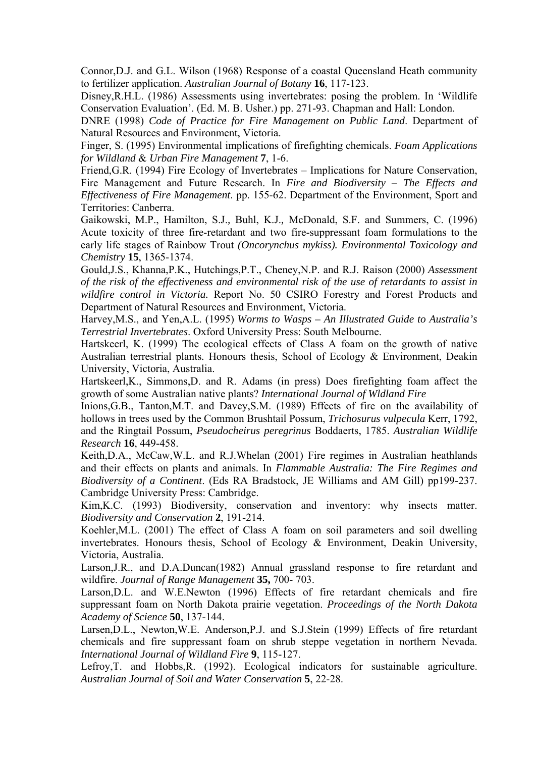Connor,D.J. and G.L. Wilson (1968) Response of a coastal Queensland Heath community to fertilizer application. *Australian Journal of Botany* **16**, 117-123.

Disney,R.H.L. (1986) Assessments using invertebrates: posing the problem. In 'Wildlife Conservation Evaluation'. (Ed. M. B. Usher.) pp. 271-93. Chapman and Hall: London.

DNRE (1998) *Code of Practice for Fire Management on Public Land*. Department of Natural Resources and Environment, Victoria.

Finger, S. (1995) Environmental implications of firefighting chemicals. *Foam Applications for Wildland* & *Urban Fire Management* **7**, 1-6.

Friend,G.R. (1994) Fire Ecology of Invertebrates – Implications for Nature Conservation, Fire Management and Future Research. In *Fire and Biodiversity – The Effects and Effectiveness of Fire Management*. pp. 155-62. Department of the Environment, Sport and Territories: Canberra.

Gaikowski, M.P., Hamilton, S.J.*,* Buhl, K.J.*,* McDonald, S.F. and Summers, C. (1996) Acute toxicity of three fire-retardant and two fire-suppressant foam formulations to the early life stages of Rainbow Trout *(Oncorynchus mykiss). Environmental Toxicology and Chemistry* **15**, 1365-1374.

Gould,J.S., Khanna,P.K., Hutchings,P.T., Cheney,N.P. and R.J. Raison (2000) *Assessment of the risk of the effectiveness and environmental risk of the use of retardants to assist in wildfire control in Victoria.* Report No. 50 CSIRO Forestry and Forest Products and Department of Natural Resources and Environment, Victoria.

Harvey,M.S., and Yen,A.L. (1995) *Worms to Wasps – An Illustrated Guide to Australia's Terrestrial Invertebrates*. Oxford University Press: South Melbourne.

Hartskeerl, K. (1999) The ecological effects of Class A foam on the growth of native Australian terrestrial plants*.* Honours thesis, School of Ecology & Environment, Deakin University, Victoria, Australia.

Hartskeerl,K., Simmons,D. and R. Adams (in press) Does firefighting foam affect the growth of some Australian native plants? *International Journal of Wldland Fire*

Inions,G.B., Tanton,M.T. and Davey,S.M. (1989) Effects of fire on the availability of hollows in trees used by the Common Brushtail Possum, *Trichosurus vulpecula* Kerr, 1792, and the Ringtail Possum, *Pseudocheirus peregrinus* Boddaerts, 1785. *Australian Wildlife Research* **16**, 449-458.

Keith,D.A., McCaw,W.L. and R.J.Whelan (2001) Fire regimes in Australian heathlands and their effects on plants and animals. In *Flammable Australia: The Fire Regimes and Biodiversity of a Continent*. (Eds RA Bradstock, JE Williams and AM Gill) pp199-237. Cambridge University Press: Cambridge.

Kim, K.C. (1993) Biodiversity, conservation and inventory: why insects matter. *Biodiversity and Conservation* **2**, 191-214.

Koehler,M.L. (2001) The effect of Class A foam on soil parameters and soil dwelling invertebrates. Honours thesis, School of Ecology & Environment, Deakin University, Victoria, Australia.

Larson,J.R., and D.A.Duncan(1982) Annual grassland response to fire retardant and wildfire. *Journal of Range Management* **35,** 700- 703.

Larson,D.L. and W.E.Newton (1996) Effects of fire retardant chemicals and fire suppressant foam on North Dakota prairie vegetation. *Proceedings of the North Dakota Academy of Science* **50**, 137-144.

Larsen,D.L., Newton,W.E. Anderson,P.J. and S.J.Stein (1999) Effects of fire retardant chemicals and fire suppressant foam on shrub steppe vegetation in northern Nevada. *International Journal of Wildland Fire* **9**, 115-127.

Lefroy,T. and Hobbs,R. (1992). Ecological indicators for sustainable agriculture. *Australian Journal of Soil and Water Conservation* **5**, 22-28.